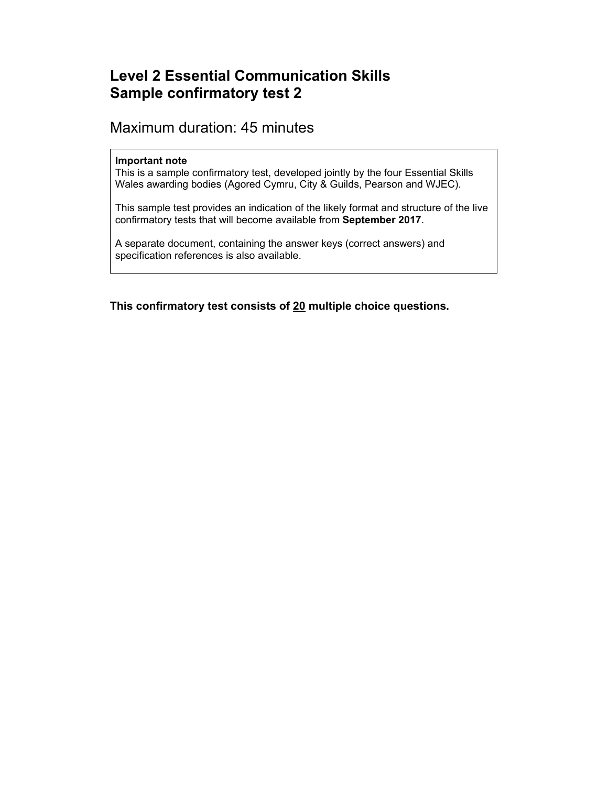# **Level 2 Essential Communication Skills Sample confirmatory test 2**

# Maximum duration: 45 minutes

### **Important note**

This is a sample confirmatory test, developed jointly by the four Essential Skills Wales awarding bodies (Agored Cymru, City & Guilds, Pearson and WJEC).

This sample test provides an indication of the likely format and structure of the live confirmatory tests that will become available from **September 2017**.

A separate document, containing the answer keys (correct answers) and specification references is also available.

**This confirmatory test consists of 20 multiple choice questions.**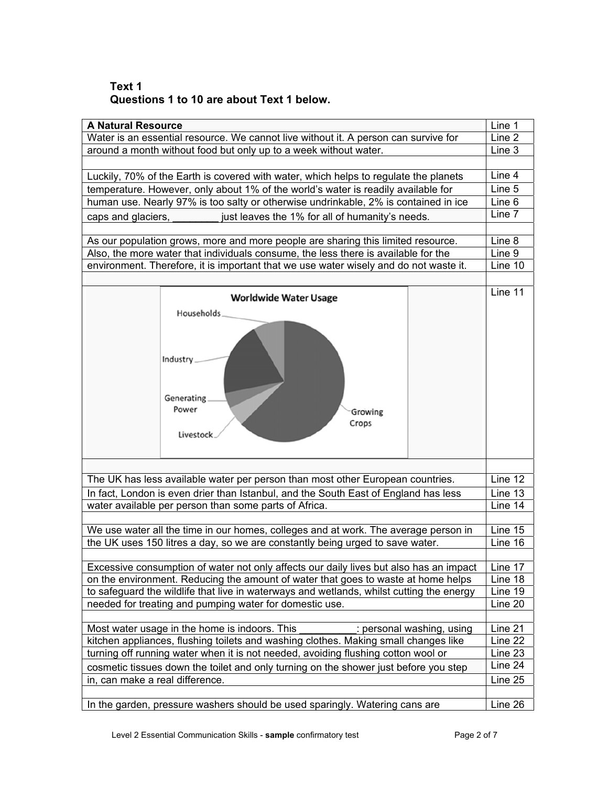## **Text 1 Questions 1 to 10 are about Text 1 below.**

| <b>A Natural Resource</b>                                                                                                                           |                                                                                      |  | Line 1  |
|-----------------------------------------------------------------------------------------------------------------------------------------------------|--------------------------------------------------------------------------------------|--|---------|
| Water is an essential resource. We cannot live without it. A person can survive for                                                                 |                                                                                      |  | Line 2  |
| around a month without food but only up to a week without water.                                                                                    |                                                                                      |  | Line 3  |
|                                                                                                                                                     |                                                                                      |  |         |
|                                                                                                                                                     | Luckily, 70% of the Earth is covered with water, which helps to regulate the planets |  | Line 4  |
| temperature. However, only about 1% of the world's water is readily available for                                                                   |                                                                                      |  | Line 5  |
|                                                                                                                                                     | human use. Nearly 97% is too salty or otherwise undrinkable, 2% is contained in ice  |  | Line 6  |
| just leaves the 1% for all of humanity's needs.<br>caps and glaciers,                                                                               |                                                                                      |  | Line 7  |
|                                                                                                                                                     |                                                                                      |  |         |
| As our population grows, more and more people are sharing this limited resource.                                                                    |                                                                                      |  | Line 8  |
| Also, the more water that individuals consume, the less there is available for the                                                                  |                                                                                      |  | Line 9  |
| environment. Therefore, it is important that we use water wisely and do not waste it.                                                               |                                                                                      |  | Line 10 |
|                                                                                                                                                     |                                                                                      |  |         |
|                                                                                                                                                     |                                                                                      |  | Line 11 |
|                                                                                                                                                     | <b>Worldwide Water Usage</b>                                                         |  |         |
| Households                                                                                                                                          |                                                                                      |  |         |
|                                                                                                                                                     |                                                                                      |  |         |
|                                                                                                                                                     |                                                                                      |  |         |
|                                                                                                                                                     |                                                                                      |  |         |
| Industry                                                                                                                                            |                                                                                      |  |         |
|                                                                                                                                                     |                                                                                      |  |         |
|                                                                                                                                                     |                                                                                      |  |         |
| Generating                                                                                                                                          |                                                                                      |  |         |
| Power                                                                                                                                               | Growing                                                                              |  |         |
|                                                                                                                                                     | Crops                                                                                |  |         |
| Livestock                                                                                                                                           |                                                                                      |  |         |
|                                                                                                                                                     |                                                                                      |  |         |
|                                                                                                                                                     |                                                                                      |  |         |
|                                                                                                                                                     |                                                                                      |  | Line 12 |
| The UK has less available water per person than most other European countries.                                                                      |                                                                                      |  |         |
| In fact, London is even drier than Istanbul, and the South East of England has less                                                                 |                                                                                      |  | Line 13 |
| water available per person than some parts of Africa.                                                                                               |                                                                                      |  | Line 14 |
|                                                                                                                                                     |                                                                                      |  |         |
| We use water all the time in our homes, colleges and at work. The average person in                                                                 |                                                                                      |  | Line 15 |
| the UK uses 150 litres a day, so we are constantly being urged to save water.                                                                       |                                                                                      |  | Line 16 |
|                                                                                                                                                     |                                                                                      |  | Line 17 |
| Excessive consumption of water not only affects our daily lives but also has an impact                                                              |                                                                                      |  | Line 18 |
| on the environment. Reducing the amount of water that goes to waste at home helps                                                                   |                                                                                      |  | Line 19 |
| to safeguard the wildlife that live in waterways and wetlands, whilst cutting the energy<br>needed for treating and pumping water for domestic use. |                                                                                      |  |         |
|                                                                                                                                                     |                                                                                      |  | Line 20 |
|                                                                                                                                                     |                                                                                      |  | Line 21 |
| Most water usage in the home is indoors. This<br>: personal washing, using                                                                          |                                                                                      |  |         |
| kitchen appliances, flushing toilets and washing clothes. Making small changes like                                                                 |                                                                                      |  | Line 22 |
| turning off running water when it is not needed, avoiding flushing cotton wool or                                                                   |                                                                                      |  | Line 23 |
| cosmetic tissues down the toilet and only turning on the shower just before you step                                                                |                                                                                      |  | Line 24 |
| in, can make a real difference.                                                                                                                     |                                                                                      |  | Line 25 |
|                                                                                                                                                     |                                                                                      |  |         |
| In the garden, pressure washers should be used sparingly. Watering cans are                                                                         |                                                                                      |  | Line 26 |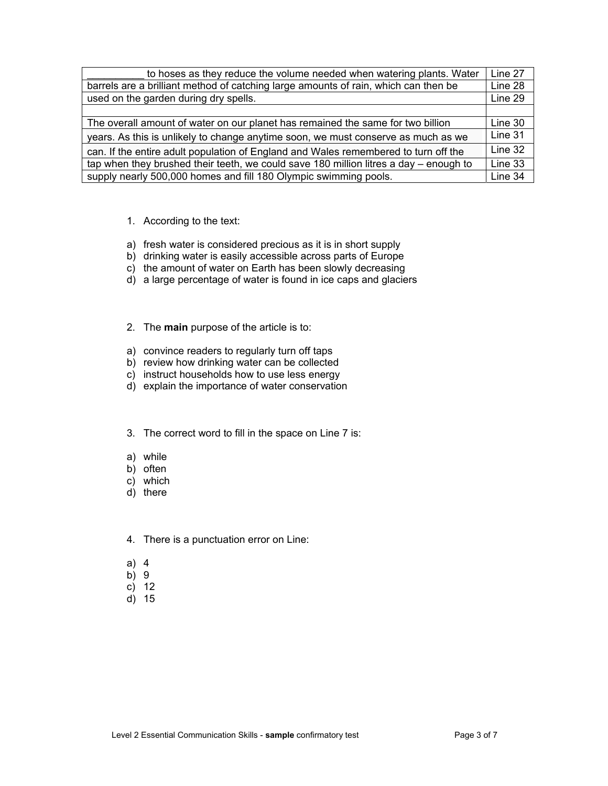| to hoses as they reduce the volume needed when watering plants. Water                   |  |  |
|-----------------------------------------------------------------------------------------|--|--|
| barrels are a brilliant method of catching large amounts of rain, which can then be     |  |  |
| used on the garden during dry spells.                                                   |  |  |
|                                                                                         |  |  |
| The overall amount of water on our planet has remained the same for two billion         |  |  |
| years. As this is unlikely to change anytime soon, we must conserve as much as we       |  |  |
| can. If the entire adult population of England and Wales remembered to turn off the     |  |  |
| tap when they brushed their teeth, we could save 180 million litres a day $-$ enough to |  |  |
| supply nearly 500,000 homes and fill 180 Olympic swimming pools.                        |  |  |

- 1. According to the text:
- a) fresh water is considered precious as it is in short supply
- b) drinking water is easily accessible across parts of Europe
- c) the amount of water on Earth has been slowly decreasing
- d) a large percentage of water is found in ice caps and glaciers
- 2. The **main** purpose of the article is to:
- a) convince readers to regularly turn off taps
- b) review how drinking water can be collected
- c) instruct households how to use less energy
- d) explain the importance of water conservation
- 3. The correct word to fill in the space on Line 7 is:
- a) while
- b) often
- c) which
- d) there
- 4. There is a punctuation error on Line:
- a) 4
- b) 9
- c) 12
- d) 15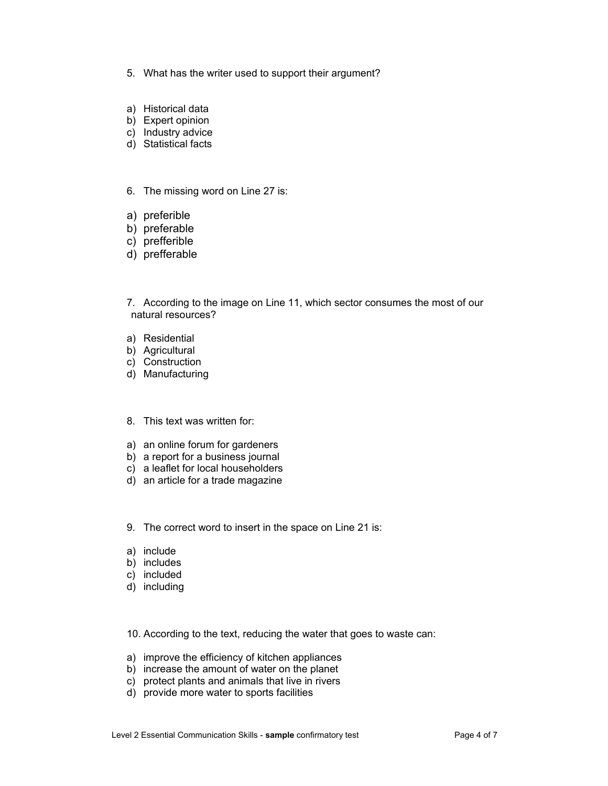- 5. What has the writer used to support their argument?
- a) Historical data
- b) Expert opinion
- c) Industry advice
- d) Statistical facts
- 6. The missing word on Line 27 is:
- a) preferible
- b) preferable
- c) prefferible
- d) prefferable

7. According to the image on Line 11, which sector consumes the most of our natural resources?

- a) Residential
- b) Agricultural
- c) Construction
- d) Manufacturing
- 8. This text was written for:
- a) an online forum for gardeners
- b) a report for a business journal
- c) a leaflet for local householders
- d) an article for a trade magazine
- 9. The correct word to insert in the space on Line 21 is:
- a) include
- b) includes
- c) included
- d) including

10. According to the text, reducing the water that goes to waste can:

- a) improve the efficiency of kitchen appliances
- b) increase the amount of water on the planet
- c) protect plants and animals that live in rivers
- d) provide more water to sports facilities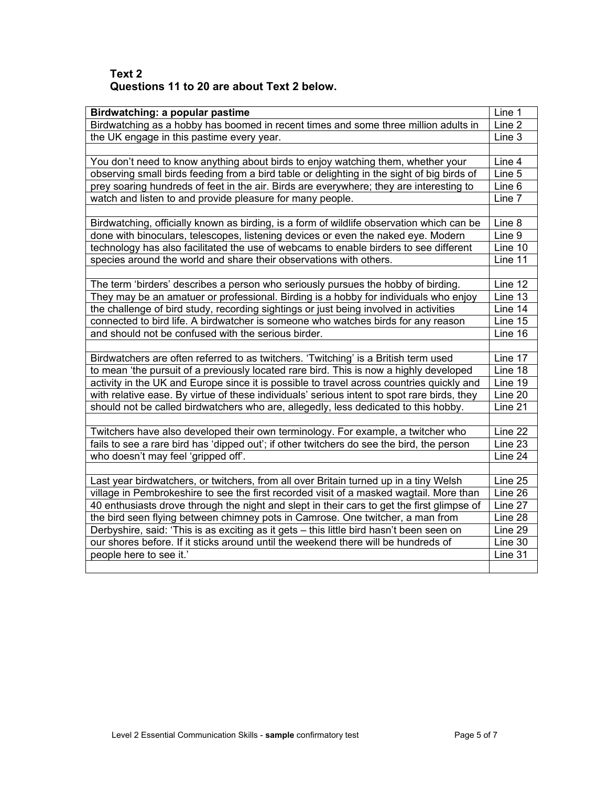# **Text 2 Questions 11 to 20 are about Text 2 below.**

| Birdwatching: a popular pastime                                                             | Line 1             |  |
|---------------------------------------------------------------------------------------------|--------------------|--|
| Birdwatching as a hobby has boomed in recent times and some three million adults in         | Line 2             |  |
| the UK engage in this pastime every year.                                                   |                    |  |
|                                                                                             | Line 3             |  |
| You don't need to know anything about birds to enjoy watching them, whether your            | Line 4             |  |
| observing small birds feeding from a bird table or delighting in the sight of big birds of  | Line 5             |  |
| prey soaring hundreds of feet in the air. Birds are everywhere; they are interesting to     |                    |  |
| watch and listen to and provide pleasure for many people.                                   |                    |  |
|                                                                                             | Line 7             |  |
| Birdwatching, officially known as birding, is a form of wildlife observation which can be   | Line 8             |  |
| done with binoculars, telescopes, listening devices or even the naked eye. Modern           | Line 9             |  |
| technology has also facilitated the use of webcams to enable birders to see different       | Line 10            |  |
| species around the world and share their observations with others.                          |                    |  |
|                                                                                             | Line 11            |  |
| The term 'birders' describes a person who seriously pursues the hobby of birding.           | Line $12$          |  |
| They may be an amatuer or professional. Birding is a hobby for individuals who enjoy        | Line 13            |  |
| the challenge of bird study, recording sightings or just being involved in activities       | Line 14            |  |
| connected to bird life. A birdwatcher is someone who watches birds for any reason           | Line 15            |  |
| and should not be confused with the serious birder.                                         |                    |  |
|                                                                                             |                    |  |
| Birdwatchers are often referred to as twitchers. 'Twitching' is a British term used         | Line 17            |  |
| to mean 'the pursuit of a previously located rare bird. This is now a highly developed      | Line 18            |  |
| activity in the UK and Europe since it is possible to travel across countries quickly and   |                    |  |
| with relative ease. By virtue of these individuals' serious intent to spot rare birds, they |                    |  |
| should not be called birdwatchers who are, allegedly, less dedicated to this hobby.         |                    |  |
|                                                                                             |                    |  |
| Twitchers have also developed their own terminology. For example, a twitcher who            | Line 22            |  |
| fails to see a rare bird has 'dipped out'; if other twitchers do see the bird, the person   | Line 23            |  |
| who doesn't may feel 'gripped off'.                                                         | Line 24            |  |
|                                                                                             |                    |  |
| Last year birdwatchers, or twitchers, from all over Britain turned up in a tiny Welsh       | Line 25<br>Line 26 |  |
| village in Pembrokeshire to see the first recorded visit of a masked wagtail. More than     |                    |  |
| 40 enthusiasts drove through the night and slept in their cars to get the first glimpse of  |                    |  |
| the bird seen flying between chimney pots in Camrose. One twitcher, a man from              |                    |  |
| Derbyshire, said: 'This is as exciting as it gets - this little bird hasn't been seen on    |                    |  |
| our shores before. If it sticks around until the weekend there will be hundreds of          |                    |  |
| people here to see it.'                                                                     |                    |  |
|                                                                                             |                    |  |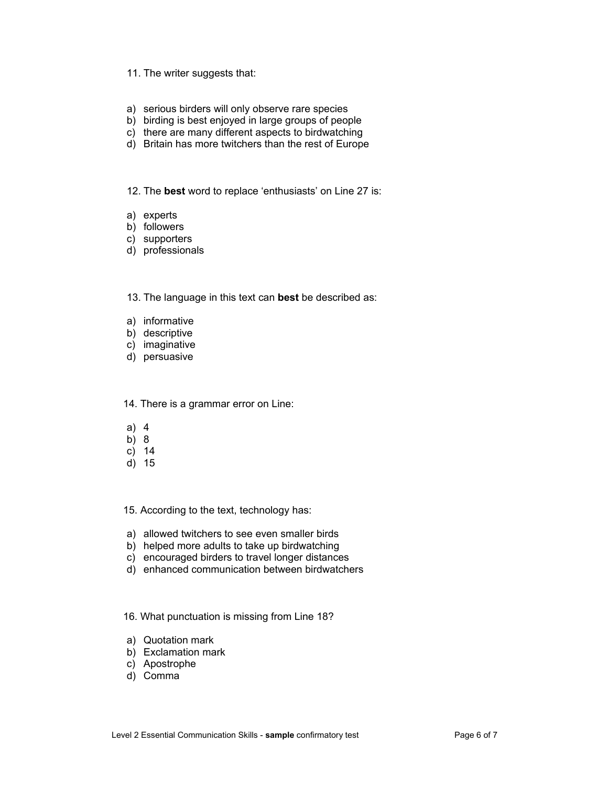#### 11. The writer suggests that:

- a) serious birders will only observe rare species
- b) birding is best enjoyed in large groups of people
- c) there are many different aspects to birdwatching
- d) Britain has more twitchers than the rest of Europe

12. The **best** word to replace 'enthusiasts' on Line 27 is:

- a) experts
- b) followers
- c) supporters
- d) professionals

13. The language in this text can **best** be described as:

- a) informative
- b) descriptive
- c) imaginative
- d) persuasive

14. There is a grammar error on Line:

- a) 4
- b) 8
- c) 14
- d) 15

15. According to the text, technology has:

- a) allowed twitchers to see even smaller birds
- b) helped more adults to take up birdwatching
- c) encouraged birders to travel longer distances
- d) enhanced communication between birdwatchers

16. What punctuation is missing from Line 18?

- a) Quotation mark
- b) Exclamation mark
- c) Apostrophe
- d) Comma